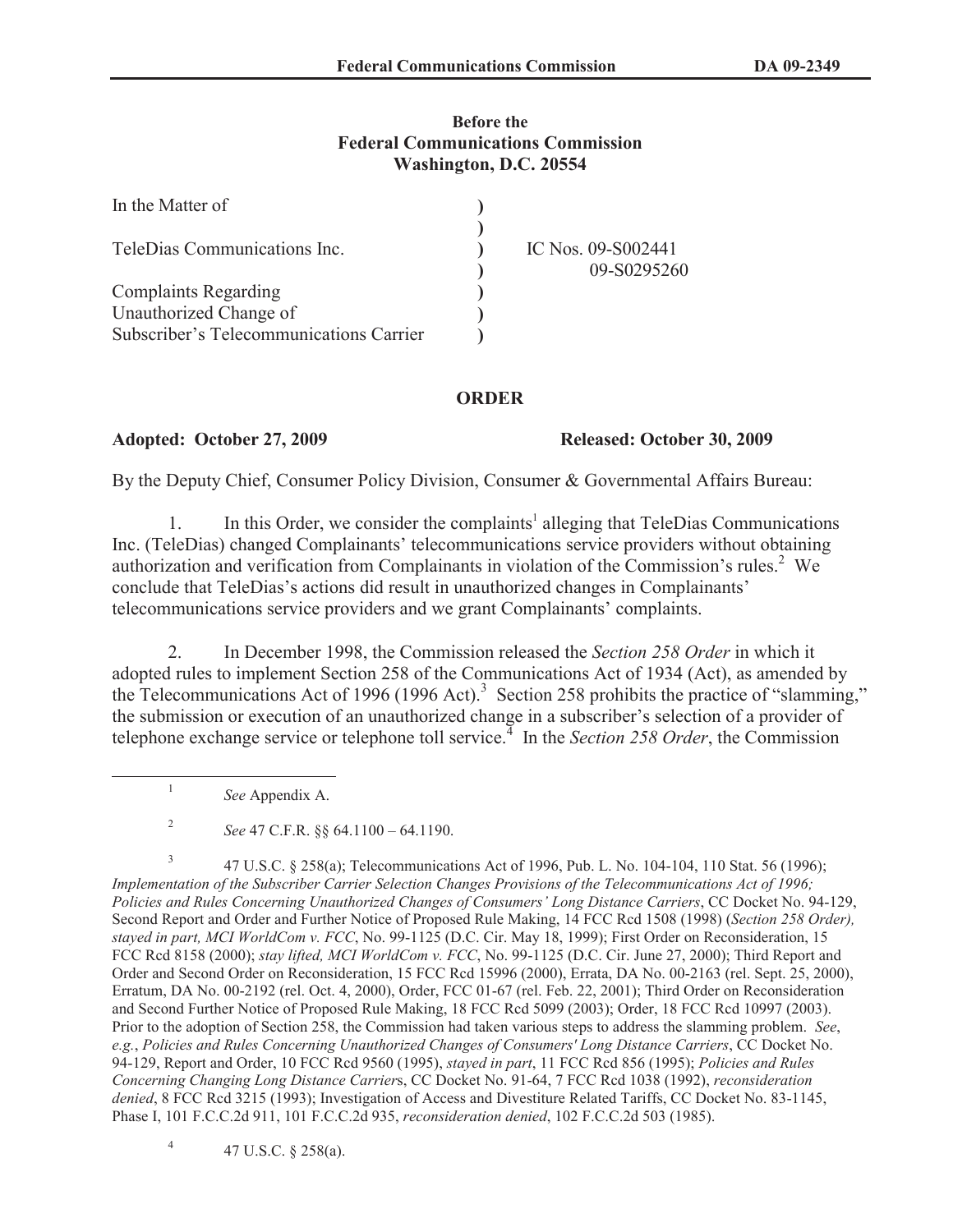## **Before the Federal Communications Commission Washington, D.C. 20554**

| In the Matter of                        |                                   |
|-----------------------------------------|-----------------------------------|
| TeleDias Communications Inc.            | IC Nos. 09-S002441<br>09-S0295260 |
| <b>Complaints Regarding</b>             |                                   |
| Unauthorized Change of                  |                                   |
| Subscriber's Telecommunications Carrier |                                   |

## **ORDER**

**Adopted: October 27, 2009 Released: October 30, 2009** 

By the Deputy Chief, Consumer Policy Division, Consumer & Governmental Affairs Bureau:

1. In this Order, we consider the complaints<sup>1</sup> alleging that TeleDias Communications Inc. (TeleDias) changed Complainants' telecommunications service providers without obtaining authorization and verification from Complainants in violation of the Commission's rules.<sup>2</sup> We conclude that TeleDias's actions did result in unauthorized changes in Complainants' telecommunications service providers and we grant Complainants' complaints.

2. In December 1998, the Commission released the *Section 258 Order* in which it adopted rules to implement Section 258 of the Communications Act of 1934 (Act), as amended by the Telecommunications Act of 1996 (1996 Act).<sup>3</sup> Section 258 prohibits the practice of "slamming," the submission or execution of an unauthorized change in a subscriber's selection of a provider of telephone exchange service or telephone toll service.<sup>4</sup> In the *Section 258 Order*, the Commission

1 *See* Appendix A.

3 47 U.S.C. § 258(a); Telecommunications Act of 1996, Pub. L. No. 104-104, 110 Stat. 56 (1996); *Implementation of the Subscriber Carrier Selection Changes Provisions of the Telecommunications Act of 1996; Policies and Rules Concerning Unauthorized Changes of Consumers' Long Distance Carriers*, CC Docket No. 94-129, Second Report and Order and Further Notice of Proposed Rule Making, 14 FCC Rcd 1508 (1998) (*Section 258 Order), stayed in part, MCI WorldCom v. FCC*, No. 99-1125 (D.C. Cir. May 18, 1999); First Order on Reconsideration, 15 FCC Rcd 8158 (2000); *stay lifted, MCI WorldCom v. FCC*, No. 99-1125 (D.C. Cir. June 27, 2000); Third Report and Order and Second Order on Reconsideration, 15 FCC Rcd 15996 (2000), Errata, DA No. 00-2163 (rel. Sept. 25, 2000), Erratum, DA No. 00-2192 (rel. Oct. 4, 2000), Order, FCC 01-67 (rel. Feb. 22, 2001); Third Order on Reconsideration and Second Further Notice of Proposed Rule Making, 18 FCC Rcd 5099 (2003); Order, 18 FCC Rcd 10997 (2003). Prior to the adoption of Section 258, the Commission had taken various steps to address the slamming problem. *See*, *e.g.*, *Policies and Rules Concerning Unauthorized Changes of Consumers' Long Distance Carriers*, CC Docket No. 94-129, Report and Order, 10 FCC Rcd 9560 (1995), *stayed in part*, 11 FCC Rcd 856 (1995); *Policies and Rules Concerning Changing Long Distance Carrier*s, CC Docket No. 91-64, 7 FCC Rcd 1038 (1992), *reconsideration denied*, 8 FCC Rcd 3215 (1993); Investigation of Access and Divestiture Related Tariffs, CC Docket No. 83-1145, Phase I, 101 F.C.C.2d 911, 101 F.C.C.2d 935, *reconsideration denied*, 102 F.C.C.2d 503 (1985).

4 47 U.S.C. § 258(a).

<sup>2</sup> *See* 47 C.F.R. §§ 64.1100 – 64.1190.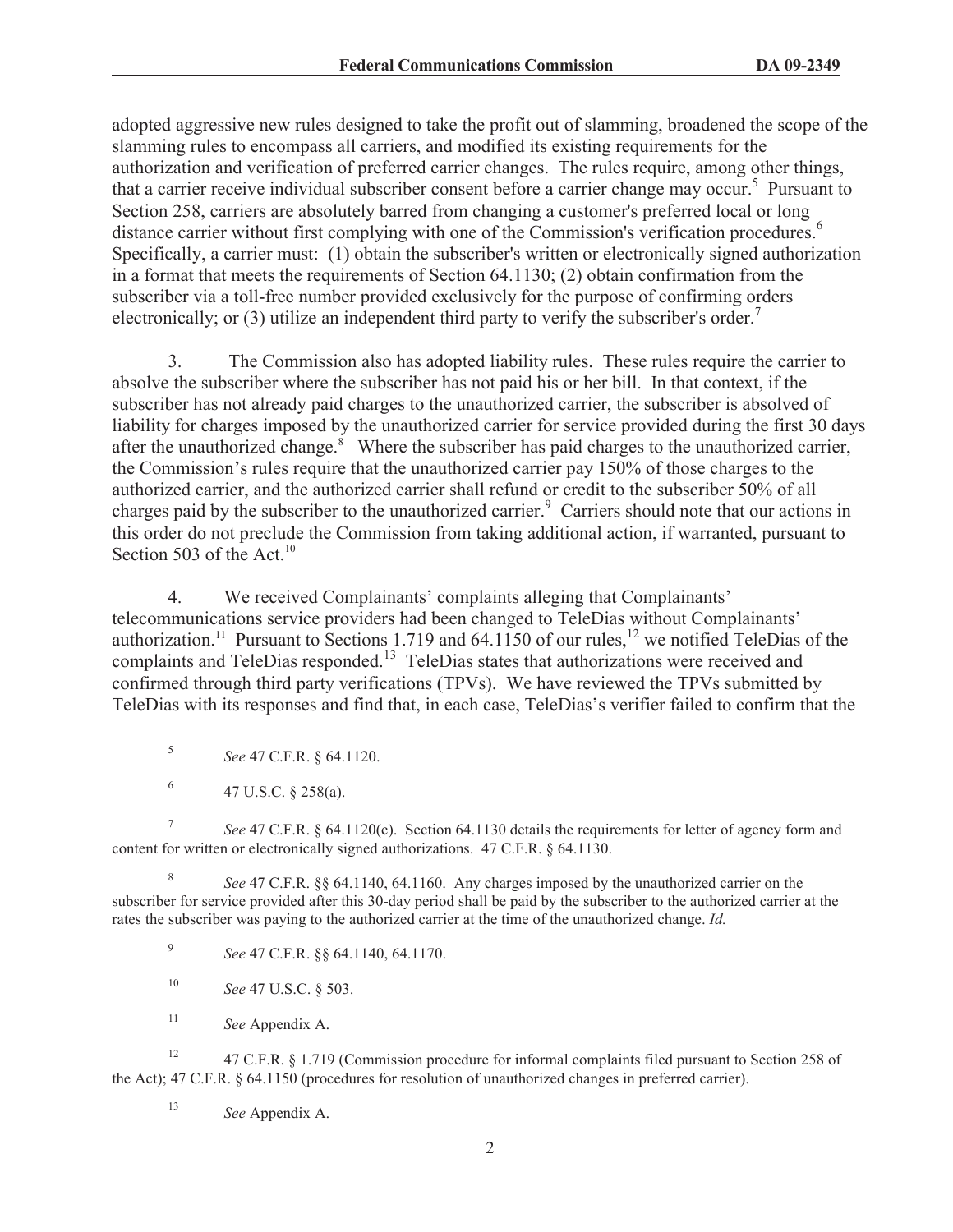adopted aggressive new rules designed to take the profit out of slamming, broadened the scope of the slamming rules to encompass all carriers, and modified its existing requirements for the authorization and verification of preferred carrier changes. The rules require, among other things, that a carrier receive individual subscriber consent before a carrier change may occur.<sup>5</sup> Pursuant to Section 258, carriers are absolutely barred from changing a customer's preferred local or long distance carrier without first complying with one of the Commission's verification procedures.<sup>6</sup> Specifically, a carrier must: (1) obtain the subscriber's written or electronically signed authorization in a format that meets the requirements of Section 64.1130; (2) obtain confirmation from the subscriber via a toll-free number provided exclusively for the purpose of confirming orders electronically; or (3) utilize an independent third party to verify the subscriber's order.<sup>7</sup>

3. The Commission also has adopted liability rules. These rules require the carrier to absolve the subscriber where the subscriber has not paid his or her bill. In that context, if the subscriber has not already paid charges to the unauthorized carrier, the subscriber is absolved of liability for charges imposed by the unauthorized carrier for service provided during the first 30 days after the unauthorized change. $\frac{8}{3}$  Where the subscriber has paid charges to the unauthorized carrier, the Commission's rules require that the unauthorized carrier pay 150% of those charges to the authorized carrier, and the authorized carrier shall refund or credit to the subscriber 50% of all charges paid by the subscriber to the unauthorized carrier.<sup>9</sup> Carriers should note that our actions in this order do not preclude the Commission from taking additional action, if warranted, pursuant to Section 503 of the Act.<sup>10</sup>

4. We received Complainants' complaints alleging that Complainants' telecommunications service providers had been changed to TeleDias without Complainants' authorization.<sup>11</sup> Pursuant to Sections 1.719 and 64.1150 of our rules,<sup>12</sup> we notified TeleDias of the complaints and TeleDias responded.<sup>13</sup> TeleDias states that authorizations were received and confirmed through third party verifications (TPVs). We have reviewed the TPVs submitted by TeleDias with its responses and find that, in each case, TeleDias's verifier failed to confirm that the

- 5 *See* 47 C.F.R. § 64.1120.
- 6 47 U.S.C. § 258(a).

7 *See* 47 C.F.R. § 64.1120(c). Section 64.1130 details the requirements for letter of agency form and content for written or electronically signed authorizations. 47 C.F.R. § 64.1130.

8 *See* 47 C.F.R. §§ 64.1140, 64.1160. Any charges imposed by the unauthorized carrier on the subscriber for service provided after this 30-day period shall be paid by the subscriber to the authorized carrier at the rates the subscriber was paying to the authorized carrier at the time of the unauthorized change. *Id.*

9 *See* 47 C.F.R. §§ 64.1140, 64.1170.

- <sup>10</sup> *See* 47 U.S.C. § 503.
- <sup>11</sup> *See* Appendix A.

<sup>12</sup> 47 C.F.R. § 1.719 (Commission procedure for informal complaints filed pursuant to Section 258 of the Act); 47 C.F.R. § 64.1150 (procedures for resolution of unauthorized changes in preferred carrier).

<sup>13</sup> *See* Appendix A.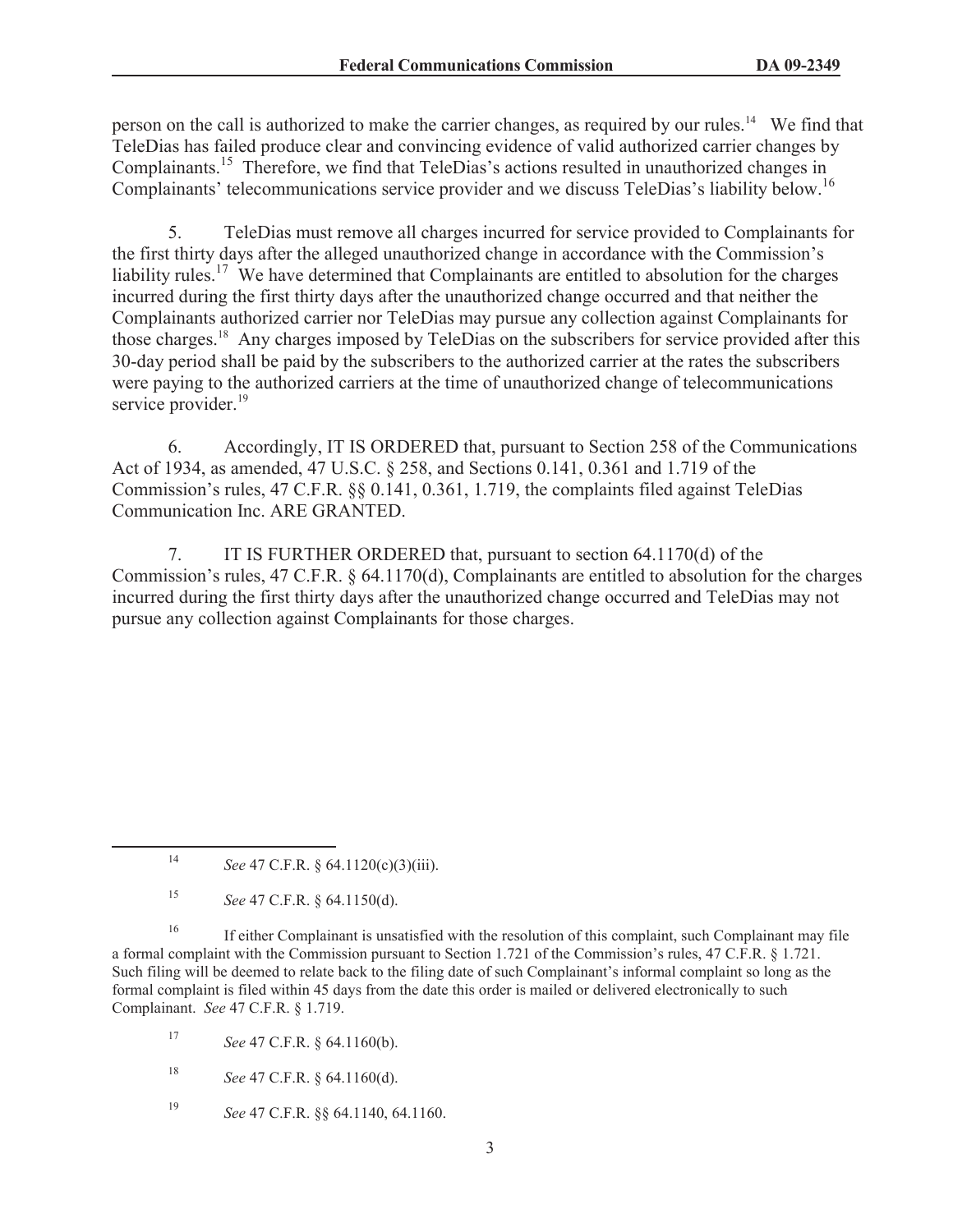person on the call is authorized to make the carrier changes, as required by our rules.<sup>14</sup> We find that TeleDias has failed produce clear and convincing evidence of valid authorized carrier changes by Complainants.<sup>15</sup> Therefore, we find that TeleDias's actions resulted in unauthorized changes in Complainants' telecommunications service provider and we discuss TeleDias's liability below.<sup>16</sup>

5. TeleDias must remove all charges incurred for service provided to Complainants for the first thirty days after the alleged unauthorized change in accordance with the Commission's liability rules.<sup>17</sup> We have determined that Complainants are entitled to absolution for the charges incurred during the first thirty days after the unauthorized change occurred and that neither the Complainants authorized carrier nor TeleDias may pursue any collection against Complainants for those charges.<sup>18</sup> Any charges imposed by TeleDias on the subscribers for service provided after this 30-day period shall be paid by the subscribers to the authorized carrier at the rates the subscribers were paying to the authorized carriers at the time of unauthorized change of telecommunications service provider.<sup>19</sup>

6. Accordingly, IT IS ORDERED that, pursuant to Section 258 of the Communications Act of 1934, as amended, 47 U.S.C. § 258, and Sections 0.141, 0.361 and 1.719 of the Commission's rules, 47 C.F.R. §§ 0.141, 0.361, 1.719, the complaints filed against TeleDias Communication Inc. ARE GRANTED.

7. IT IS FURTHER ORDERED that, pursuant to section 64.1170(d) of the Commission's rules, 47 C.F.R. § 64.1170(d), Complainants are entitled to absolution for the charges incurred during the first thirty days after the unauthorized change occurred and TeleDias may not pursue any collection against Complainants for those charges.

<sup>17</sup> *See* 47 C.F.R. § 64.1160(b).

- <sup>18</sup> *See* 47 C.F.R. § 64.1160(d).
- <sup>19</sup> *See* 47 C.F.R. §§ 64.1140, 64.1160.

<sup>14</sup> *See* 47 C.F.R. § 64.1120(c)(3)(iii).

<sup>15</sup> *See* 47 C.F.R. § 64.1150(d).

<sup>&</sup>lt;sup>16</sup> If either Complainant is unsatisfied with the resolution of this complaint, such Complainant may file a formal complaint with the Commission pursuant to Section 1.721 of the Commission's rules, 47 C.F.R. § 1.721. Such filing will be deemed to relate back to the filing date of such Complainant's informal complaint so long as the formal complaint is filed within 45 days from the date this order is mailed or delivered electronically to such Complainant. *See* 47 C.F.R. § 1.719.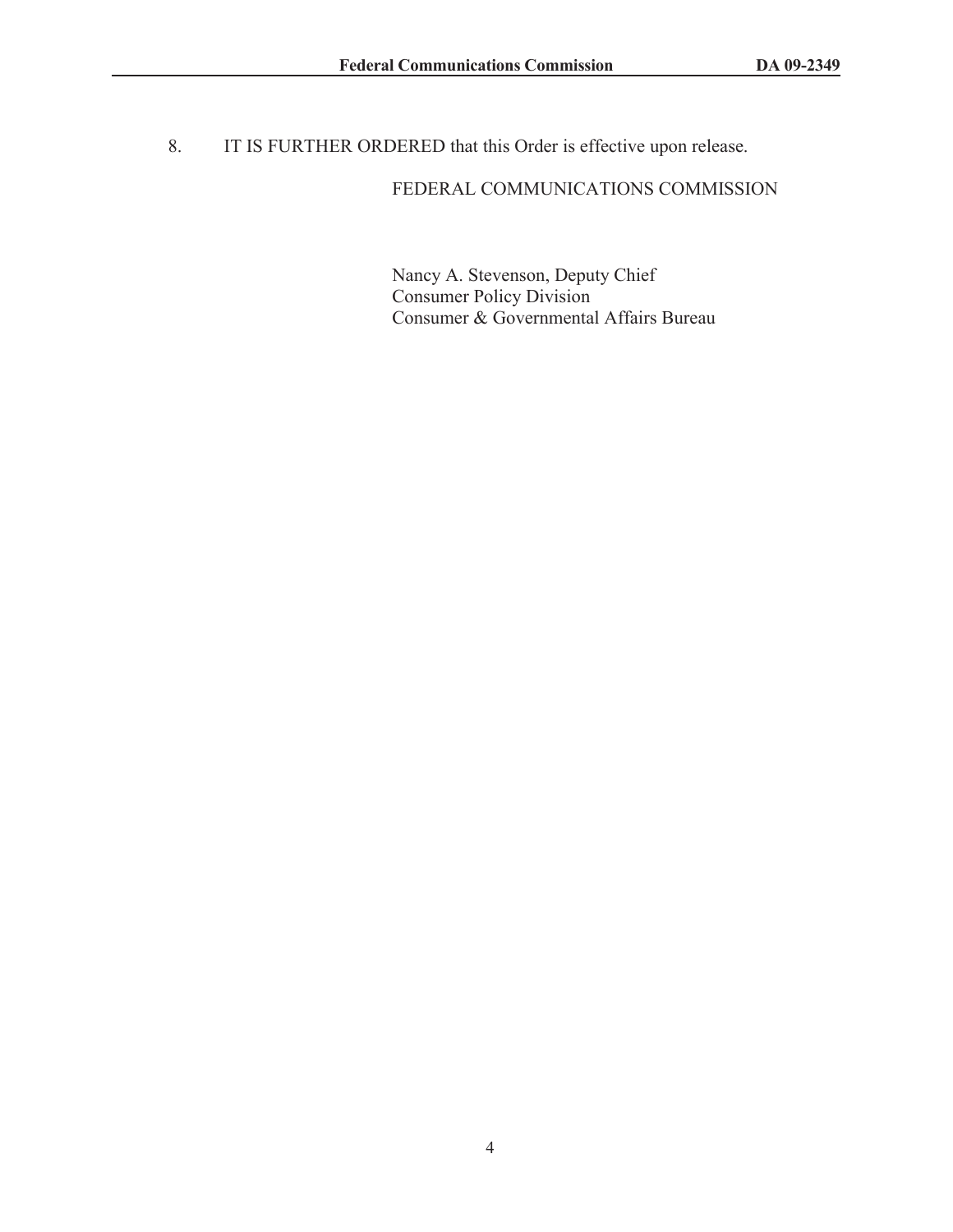8. IT IS FURTHER ORDERED that this Order is effective upon release.

## FEDERAL COMMUNICATIONS COMMISSION

Nancy A. Stevenson, Deputy Chief Consumer Policy Division Consumer & Governmental Affairs Bureau